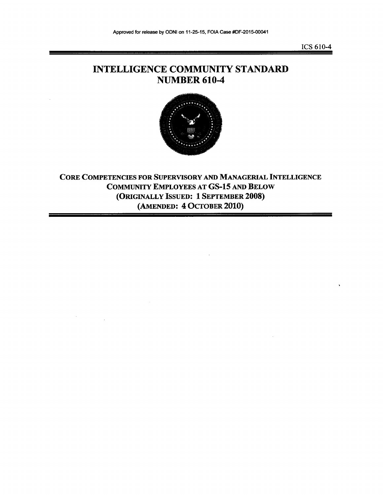ICS 610-4

## INTELLIGENCE COMMUNITY STANDARD NUMBER 610-4



CORE COMPETENCIES FOR SUPERVISORY AND MANAGERIAL INTELLIGENCE COMMUNITY EMPLOYEES AT GS-15 AND BELOW (ORIGINALLY ISSUED: 1 SEPTEMBER 2008) (AMENDED: 4 OCTOBER 2010)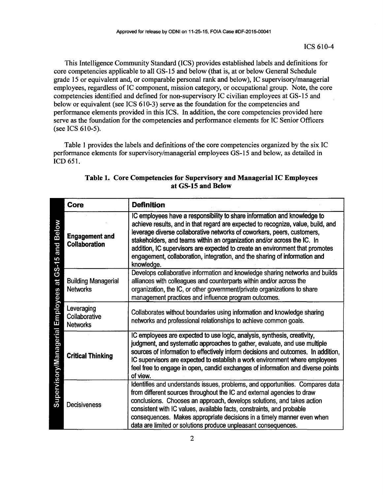This Intelligence Community Standard (ICS) provides established labels and definitions for core competencies applicable to all GS-15 and below (that is, at or below General Schedule grade 15 or equivalent and, or comparable personal rank and below), IC supervisory/managerial employees, regardless of IC component, mission category, or occupational group. Note, the core competencies identified and defined for non-supervisory IC civilian employees at GS-15 and below or equivalent (see ICS 610-3) serve as the foundation for the competencies and performance elements provided in this ICS. In addition, the core competencies provided here serve as the foundation for the competencies and performance elements for IC Senior Officers (see ICS 610-5).

Table I provides the labels and definitions of the core competencies organized by the six IC performance elements for supervisory/managerial employees GS-15 and below, as detailed in lCD 651.

|                                                                                   | Core                                           | <b>Definition</b>                                                                                                                                                                                                                                                                                                                                                                                                                                                                              |
|-----------------------------------------------------------------------------------|------------------------------------------------|------------------------------------------------------------------------------------------------------------------------------------------------------------------------------------------------------------------------------------------------------------------------------------------------------------------------------------------------------------------------------------------------------------------------------------------------------------------------------------------------|
| <b>Below</b><br><b>Pure</b><br>GS-15<br>te<br>Employees<br>Supervisory/Managerial | <b>Engagement and</b><br><b>Collaboration</b>  | IC employees have a responsibility to share information and knowledge to<br>achieve results, and in that regard are expected to recognize, value, build, and<br>leverage diverse collaborative networks of coworkers, peers, customers,<br>stakeholders, and teams within an organization and/or across the IC. In<br>addition, IC supervisors are expected to create an environment that promotes<br>engagement, collaboration, integration, and the sharing of information and<br>knowledge. |
|                                                                                   | <b>Building Managerial</b><br><b>Networks</b>  | Develops collaborative information and knowledge sharing networks and builds<br>alliances with colleagues and counterparts within and/or across the<br>organization, the IC, or other government/private organizations to share<br>management practices and influence program outcomes.                                                                                                                                                                                                        |
|                                                                                   | Leveraging<br>Collaborative<br><b>Networks</b> | Collaborates without boundaries using information and knowledge sharing<br>networks and professional relationships to achieve common goals.                                                                                                                                                                                                                                                                                                                                                    |
|                                                                                   | <b>Critical Thinking</b>                       | IC employees are expected to use logic, analysis, synthesis, creativity,<br>judgment, and systematic approaches to gather, evaluate, and use multiple<br>sources of information to effectively inform decisions and outcomes. In addition,<br>IC supervisors are expected to establish a work environment where employees<br>feel free to engage in open, candid exchanges of information and diverse points<br>of view.                                                                       |
|                                                                                   | <b>Decisiveness</b>                            | Identifies and understands issues, problems, and opportunities. Compares data<br>from different sources throughout the IC and external agencies to draw<br>conclusions. Chooses an approach, develops solutions, and takes action<br>consistent with IC values, available facts, constraints, and probable<br>consequences. Makes appropriate decisions in a timely manner even when<br>data are limited or solutions produce unpleasant consequences.                                         |

## Table 1. Core Competencies for Supervisory and Managerial IC Employees at GS-15 and Below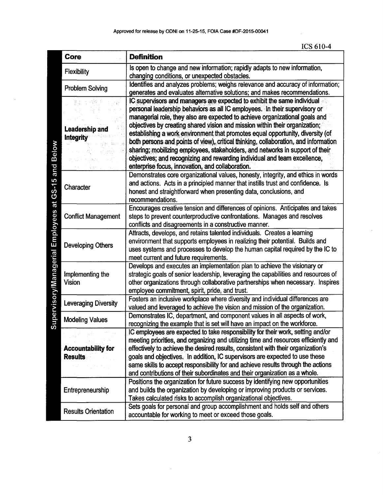| Core                       | <b>Definition</b>                                                                                                                                             |
|----------------------------|---------------------------------------------------------------------------------------------------------------------------------------------------------------|
| <b>Flexibility</b>         | Is open to change and new information; rapidly adapts to new information,                                                                                     |
|                            | changing conditions, or unexpected obstacles.<br>Identifies and analyzes problems; weighs relevance and accuracy of information;                              |
| <b>Problem Solving</b>     | generates and evaluates alternative solutions; and makes recommendations.                                                                                     |
|                            | IC supervisors and managers are expected to exhibit the same individual                                                                                       |
|                            | personal leadership behaviors as all IC employees. In their supervisory or                                                                                    |
|                            | managerial role, they also are expected to achieve organizational goals and                                                                                   |
| <b>Leadership and</b>      | objectives by creating shared vision and mission within their organization;<br>establishing a work environment that promotes equal opportunity, diversity (of |
| <b>Integrity</b>           | both persons and points of view), critical thinking, collaboration, and information                                                                           |
|                            | sharing; mobilizing employees, stakeholders, and networks in support of their                                                                                 |
|                            | objectives; and recognizing and rewarding individual and team excellence,                                                                                     |
|                            | enterprise focus, innovation, and collaboration.                                                                                                              |
|                            | Demonstrates core organizational values, honesty, integrity, and ethics in words                                                                              |
| Character                  | and actions. Acts in a principled manner that instills trust and confidence. Is                                                                               |
|                            | honest and straightforward when presenting data, conclusions, and<br>recommendations.                                                                         |
|                            | Encourages creative tension and differences of opinions. Anticipates and takes                                                                                |
| <b>Conflict Management</b> | steps to prevent counterproductive confrontations. Manages and resolves                                                                                       |
|                            | conflicts and disagreements in a constructive manner.                                                                                                         |
|                            | Attracts, develops, and retains talented individuals. Creates a learning                                                                                      |
| <b>Developing Others</b>   | environment that supports employees in realizing their potential. Builds and                                                                                  |
|                            | uses systems and processes to develop the human capital required by the IC to                                                                                 |
|                            | meet current and future requirements.<br>Develops and executes an implementation plan to achieve the visionary or                                             |
| Implementing the           | strategic goals of senior leadership, leveraging the capabilities and resources of                                                                            |
| <b>Vision</b>              | other organizations through collaborative partnerships when necessary. Inspires                                                                               |
|                            | employee commitment, spirit, pride, and trust.                                                                                                                |
| Leveraging Diversity       | Fosters an inclusive workplace where diversity and individual differences are                                                                                 |
|                            | valued and leveraged to achieve the vision and mission of the organization.                                                                                   |
| <b>Modeling Values</b>     | Demonstrates IC, department, and component values in all aspects of work,                                                                                     |
|                            | recognizing the example that is set will have an impact on the workforce.<br>IC employees are expected to take responsibility for their work, setting and/or  |
|                            | meeting priorities, and organizing and utilizing time and resources efficiently and                                                                           |
| <b>Accountability for</b>  | effectively to achieve the desired results, consistent with their organization's                                                                              |
| <b>Results</b>             | goals and objectives. In addition, IC supervisors are expected to use these                                                                                   |
|                            | same skills to accept responsibility for and achieve results through the actions                                                                              |
|                            | and contributions of their subordinates and their organization as a whole.                                                                                    |
|                            | Positions the organization for future success by identifying new opportunities                                                                                |
| Entrepreneurship           | and builds the organization by developing or improving products or services.<br>Takes calculated risks to accomplish organizational objectives.               |
|                            | Sets goals for personal and group accomplishment and holds self and others                                                                                    |
| <b>Results Orientation</b> | accountable for working to meet or exceed those goals.                                                                                                        |

3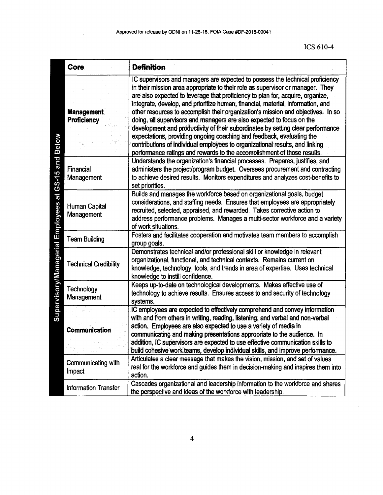|                                  | Core                                     | <b>Definition</b>                                                                                                                                                                                                                                                                                                                                                                                                                                                                                                                                                                                                                                                                                                                                                                                                        |
|----------------------------------|------------------------------------------|--------------------------------------------------------------------------------------------------------------------------------------------------------------------------------------------------------------------------------------------------------------------------------------------------------------------------------------------------------------------------------------------------------------------------------------------------------------------------------------------------------------------------------------------------------------------------------------------------------------------------------------------------------------------------------------------------------------------------------------------------------------------------------------------------------------------------|
|                                  | <b>Management</b><br><b>Proficiency</b>  | IC supervisors and managers are expected to possess the technical proficiency<br>in their mission area appropriate to their role as supervisor or manager. They<br>are also expected to leverage that proficiency to plan for, acquire, organize,<br>integrate, develop, and prioritize human, financial, material, information, and<br>other resources to accomplish their organization's mission and objectives. In so<br>doing, all supervisors and managers are also expected to focus on the<br>development and productivity of their subordinates by setting clear performance<br>expectations, providing ongoing coaching and feedback, evaluating the<br>contributions of individual employees to organizational results, and linking<br>performance ratings and rewards to the accomplishment of those results. |
| at GS-15 and Below               | <b>Financial</b><br>Management           | Understands the organization's financial processes. Prepares, justifies, and<br>administers the project/program budget. Oversees procurement and contracting<br>to achieve desired results. Monitors expenditures and analyzes cost-benefits to<br>set priorities.                                                                                                                                                                                                                                                                                                                                                                                                                                                                                                                                                       |
|                                  | <b>Human Capital</b><br>Management       | Builds and manages the workforce based on organizational goals, budget<br>considerations, and staffing needs. Ensures that employees are appropriately<br>recruited, selected, appraised, and rewarded. Takes corrective action to<br>address performance problems. Manages a multi-sector workforce and a variety<br>of work situations.                                                                                                                                                                                                                                                                                                                                                                                                                                                                                |
| Supervisory/Managerial Employees | <b>Team Building</b>                     | Fosters and facilitates cooperation and motivates team members to accomplish<br>group goals.                                                                                                                                                                                                                                                                                                                                                                                                                                                                                                                                                                                                                                                                                                                             |
|                                  | <b>Technical Credibility</b>             | Demonstrates technical and/or professional skill or knowledge in relevant<br>organizational, functional, and technical contexts. Remains current on<br>knowledge, technology, tools, and trends in area of expertise. Uses technical<br>knowledge to instill confidence.                                                                                                                                                                                                                                                                                                                                                                                                                                                                                                                                                 |
|                                  | Technology<br>Management                 | Keeps up-to-date on technological developments. Makes effective use of<br>technology to achieve results. Ensures access to and security of technology<br>systems.                                                                                                                                                                                                                                                                                                                                                                                                                                                                                                                                                                                                                                                        |
|                                  |                                          | IC employees are expected to effectively comprehend and convey information<br>with and from others in writing, reading, listening, and verbal and non-verbal                                                                                                                                                                                                                                                                                                                                                                                                                                                                                                                                                                                                                                                             |
|                                  | <b>Communication</b><br>Site is a series | action. Employees are also expected to use a variety of media in<br>communicating and making presentations appropriate to the audience. In<br>addition, IC supervisors are expected to use effective communication skills to<br>build cohesive work teams, develop individual skills, and improve performance.                                                                                                                                                                                                                                                                                                                                                                                                                                                                                                           |
|                                  | Communicating with<br>Impact             | Articulates a clear message that makes the vision, mission, and set of values<br>real for the workforce and guides them in decision-making and inspires them into<br>action.                                                                                                                                                                                                                                                                                                                                                                                                                                                                                                                                                                                                                                             |
|                                  | <b>Information Transfer</b>              | Cascades organizational and leadership information to the workforce and shares<br>the perspective and ideas of the workforce with leadership.                                                                                                                                                                                                                                                                                                                                                                                                                                                                                                                                                                                                                                                                            |